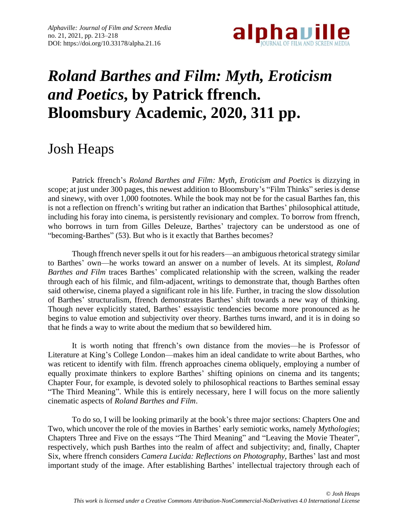

# *Roland Barthes and Film: Myth, Eroticism and Poetics***, by Patrick ffrench. Bloomsbury Academic, 2020, 311 pp.**

# Josh Heaps

Patrick ffrench's *Roland Barthes and Film: Myth, Eroticism and Poetics* is dizzying in scope; at just under 300 pages, this newest addition to Bloomsbury's "Film Thinks" series is dense and sinewy, with over 1,000 footnotes. While the book may not be for the casual Barthes fan, this is not a reflection on ffrench's writing but rather an indication that Barthes' philosophical attitude, including his foray into cinema, is persistently revisionary and complex. To borrow from ffrench, who borrows in turn from Gilles Deleuze, Barthes' trajectory can be understood as one of "becoming-Barthes" (53). But who is it exactly that Barthes becomes?

Though ffrench never spells it out for his readers—an ambiguous rhetorical strategy similar to Barthes' own—he works toward an answer on a number of levels. At its simplest, *Roland Barthes and Film* traces Barthes' complicated relationship with the screen, walking the reader through each of his filmic, and film-adjacent, writings to demonstrate that, though Barthes often said otherwise, cinema played a significant role in his life. Further, in tracing the slow dissolution of Barthes' structuralism, ffrench demonstrates Barthes' shift towards a new way of thinking. Though never explicitly stated, Barthes' essayistic tendencies become more pronounced as he begins to value emotion and subjectivity over theory. Barthes turns inward, and it is in doing so that he finds a way to write about the medium that so bewildered him.

It is worth noting that ffrench's own distance from the movies—he is Professor of Literature at King's College London—makes him an ideal candidate to write about Barthes, who was reticent to identify with film. ffrench approaches cinema obliquely, employing a number of equally proximate thinkers to explore Barthes' shifting opinions on cinema and its tangents; Chapter Four, for example, is devoted solely to philosophical reactions to Barthes seminal essay "The Third Meaning". While this is entirely necessary, here I will focus on the more saliently cinematic aspects of *Roland Barthes and Film*.

To do so, I will be looking primarily at the book's three major sections: Chapters One and Two, which uncover the role of the movies in Barthes' early semiotic works, namely *Mythologies*; Chapters Three and Five on the essays "The Third Meaning" and "Leaving the Movie Theater", respectively, which push Barthes into the realm of affect and subjectivity; and, finally, Chapter Six, where ffrench considers *Camera Lucida: Reflections on Photography*, Barthes' last and most important study of the image. After establishing Barthes' intellectual trajectory through each of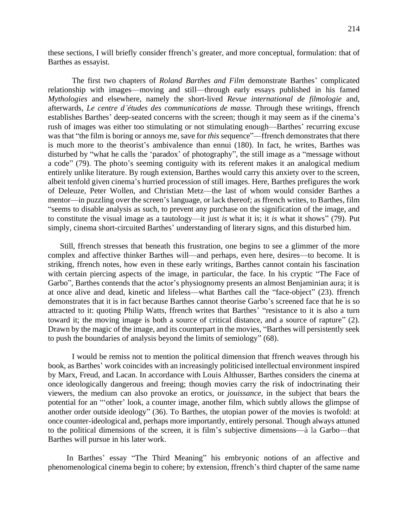these sections, I will briefly consider ffrench's greater, and more conceptual, formulation: that of Barthes as essayist.

The first two chapters of *Roland Barthes and Film* demonstrate Barthes' complicated relationship with images—moving and still—through early essays published in his famed *Mythologies* and elsewhere, namely the short-lived *Revue international de filmologie* and, afterwards, *Le centre d'études des communications de masse.* Through these writings, ffrench establishes Barthes' deep-seated concerns with the screen; though it may seem as if the cinema's rush of images was either too stimulating or not stimulating enough—Barthes' recurring excuse was that "the film is boring or annoys me, save for *this* sequence"—ffrench demonstrates that there is much more to the theorist's ambivalence than ennui (180). In fact, he writes, Barthes was disturbed by "what he calls the 'paradox' of photography", the still image as a "message without a code" (79). The photo's seeming contiguity with its referent makes it an analogical medium entirely unlike literature. By rough extension, Barthes would carry this anxiety over to the screen, albeit tenfold given cinema's hurried procession of still images. Here, Barthes prefigures the work of Deleuze, Peter Wollen, and Christian Metz—the last of whom would consider Barthes a mentor—in puzzling over the screen's language, or lack thereof; as ffrench writes, to Barthes, film "seems to disable analysis as such, to prevent any purchase on the signification of the image, and to constitute the visual image as a tautology—it just *is* what it is; it *is* what it shows" (79). Put simply, cinema short-circuited Barthes' understanding of literary signs, and this disturbed him.

Still, ffrench stresses that beneath this frustration, one begins to see a glimmer of the more complex and affective thinker Barthes will—and perhaps, even here, desires—to become. It is striking, ffrench notes, how even in these early writings, Barthes cannot contain his fascination with certain piercing aspects of the image, in particular, the face. In his cryptic "The Face of Garbo", Barthes contends that the actor's physiognomy presents an almost Benjaminian aura; it is at once alive and dead, kinetic and lifeless—what Barthes call the "face-object" (23). ffrench demonstrates that it is in fact because Barthes cannot theorise Garbo's screened face that he is so attracted to it: quoting Philip Watts, ffrench writes that Barthes' "resistance to it is also a turn toward it; the moving image is both a source of critical distance, and a source of rapture" (2). Drawn by the magic of the image, and its counterpart in the movies, "Barthes will persistently seek to push the boundaries of analysis beyond the limits of semiology" (68).

I would be remiss not to mention the political dimension that ffrench weaves through his book, as Barthes' work coincides with an increasingly politicised intellectual environment inspired by Marx, Freud, and Lacan. In accordance with Louis Althusser, Barthes considers the cinema at once ideologically dangerous and freeing; though movies carry the risk of indoctrinating their viewers, the medium can also provoke an erotics, or *jouissance*, in the subject that bears the potential for an "'other' look, a counter image, another film, which subtly allows the glimpse of another order outside ideology" (36). To Barthes, the utopian power of the movies is twofold: at once counter-ideological and, perhaps more importantly, entirely personal. Though always attuned to the political dimensions of the screen, it is film's subjective dimensions—à la Garbo—that Barthes will pursue in his later work.

In Barthes' essay "The Third Meaning" his embryonic notions of an affective and phenomenological cinema begin to cohere; by extension, ffrench's third chapter of the same name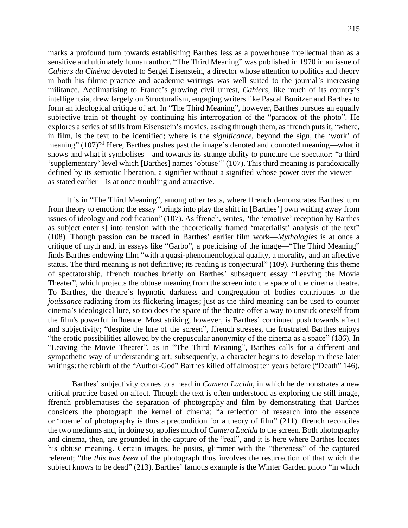marks a profound turn towards establishing Barthes less as a powerhouse intellectual than as a sensitive and ultimately human author. "The Third Meaning" was published in 1970 in an issue of *Cahiers du Cinéma* devoted to Sergei Eisenstein, a director whose attention to politics and theory in both his filmic practice and academic writings was well suited to the journal's increasing militance. Acclimatising to France's growing civil unrest, *Cahiers*, like much of its country's intelligentsia, drew largely on Structuralism, engaging writers like Pascal Bonitzer and Barthes to form an ideological critique of art. In "The Third Meaning", however, Barthes pursues an equally subjective train of thought by continuing his interrogation of the "paradox of the photo". He explores a series of stills from Eisenstein's movies, asking through them, as ffrench puts it, "where, in film, is the text to be identified; where is the *significance*, beyond the sign, the 'work' of meaning" (107)?<sup>1</sup> Here, Barthes pushes past the image's denoted and connoted meaning—what it shows and what it symbolises—and towards its strange ability to puncture the spectator: "a third 'supplementary' level which [Barthes] names 'obtuse'" (107). This third meaning is paradoxically defined by its semiotic liberation, a signifier without a signified whose power over the viewer as stated earlier—is at once troubling and attractive.

It is in "The Third Meaning", among other texts, where ffrench demonstrates Barthes' turn from theory to emotion; the essay "brings into play the shift in [Barthes'] own writing away from issues of ideology and codification" (107). As ffrench, writes, "the 'emotive' reception by Barthes as subject enter[s] into tension with the theoretically framed 'materialist' analysis of the text" (108). Though passion can be traced in Barthes' earlier film work—*Mythologies* is at once a critique of myth and, in essays like "Garbo", a poeticising of the image—"The Third Meaning" finds Barthes endowing film "with a quasi-phenomenological quality, a morality, and an affective status. The third meaning is not definitive; its reading is conjectural" (109). Furthering this theme of spectatorship, ffrench touches briefly on Barthes' subsequent essay "Leaving the Movie Theater", which projects the obtuse meaning from the screen into the space of the cinema theatre. To Barthes, the theatre's hypnotic darkness and congregation of bodies contributes to the *jouissance* radiating from its flickering images; just as the third meaning can be used to counter cinema's ideological lure, so too does the space of the theatre offer a way to unstick oneself from the film's powerful influence. Most striking, however, is Barthes' continued push towards affect and subjectivity; "despite the lure of the screen", ffrench stresses, the frustrated Barthes enjoys "the erotic possibilities allowed by the crepuscular anonymity of the cinema as a space" (186). In "Leaving the Movie Theater", as in "The Third Meaning", Barthes calls for a different and sympathetic way of understanding art; subsequently, a character begins to develop in these later writings: the rebirth of the "Author-God" Barthes killed off almost ten years before ("Death" 146).

Barthes' subjectivity comes to a head in *Camera Lucida*, in which he demonstrates a new critical practice based on affect. Though the text is often understood as exploring the still image, ffrench problematises the separation of photography and film by demonstrating that Barthes considers the photograph the kernel of cinema; "a reflection of research into the essence or 'noeme' of photography is thus a precondition for a theory of film" (211). ffrench reconciles the two mediums and, in doing so, applies much of *Camera Lucida* to the screen. Both photography and cinema, then, are grounded in the capture of the "real", and it is here where Barthes locates his obtuse meaning. Certain images, he posits, glimmer with the "thereness" of the captured referent; "the *this has been* of the photograph thus involves the resurrection of that which the subject knows to be dead" (213). Barthes' famous example is the Winter Garden photo "in which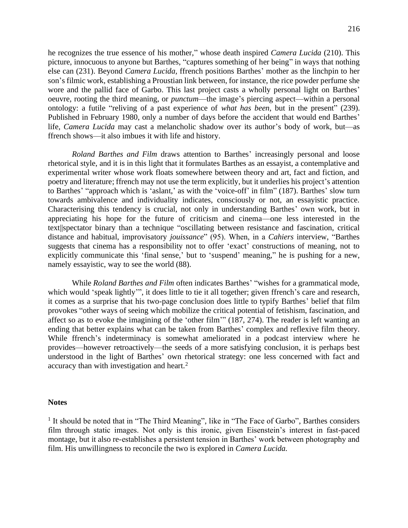he recognizes the true essence of his mother," whose death inspired *Camera Lucida* (210). This picture, innocuous to anyone but Barthes, "captures something of her being" in ways that nothing else can (231). Beyond *Camera Lucida,* ffrench positions Barthes' mother as the linchpin to her son's filmic work, establishing a Proustian link between, for instance, the rice powder perfume she wore and the pallid face of Garbo. This last project casts a wholly personal light on Barthes' oeuvre, rooting the third meaning, or *punctum*—the image's piercing aspect—within a personal ontology: a futile "reliving of a past experience of *what has been*, but in the present" (239). Published in February 1980, only a number of days before the accident that would end Barthes' life, *Camera Lucida* may cast a melancholic shadow over its author's body of work, but—as ffrench shows—it also imbues it with life and history.

*Roland Barthes and Film* draws attention to Barthes' increasingly personal and loose rhetorical style, and it is in this light that it formulates Barthes as an essayist, a contemplative and experimental writer whose work floats somewhere between theory and art, fact and fiction, and poetry and literature; ffrench may not use the term explicitly, but it underlies his project's attention to Barthes' "approach which is 'aslant,' as with the 'voice-off' in film" (187). Barthes' slow turn towards ambivalence and individuality indicates, consciously or not, an essayistic practice. Characterising this tendency is crucial, not only in understanding Barthes' own work, but in appreciating his hope for the future of criticism and cinema—one less interested in the text||spectator binary than a technique "oscillating between resistance and fascination, critical distance and habitual, improvisatory *jouissance*" (95). When, in a *Cahiers* interview, "Barthes suggests that cinema has a responsibility not to offer 'exact' constructions of meaning, not to explicitly communicate this 'final sense,' but to 'suspend' meaning," he is pushing for a new, namely essayistic, way to see the world (88).

While *Roland Barthes and Film* often indicates Barthes' "wishes for a grammatical mode, which would 'speak lightly'", it does little to tie it all together; given ffrench's care and research, it comes as a surprise that his two-page conclusion does little to typify Barthes' belief that film provokes "other ways of seeing which mobilize the critical potential of fetishism, fascination, and affect so as to evoke the imagining of the 'other film'" (187, 274). The reader is left wanting an ending that better explains what can be taken from Barthes' complex and reflexive film theory. While ffrench's indeterminacy is somewhat ameliorated in a podcast interview where he provides—however retroactively—the seeds of a more satisfying conclusion, it is perhaps best understood in the light of Barthes' own rhetorical strategy: one less concerned with fact and accuracy than with investigation and heart.<sup>2</sup>

#### **Notes**

<sup>1</sup> It should be noted that in "The Third Meaning", like in "The Face of Garbo", Barthes considers film through static images. Not only is this ironic, given Eisenstein's interest in fast-paced montage, but it also re-establishes a persistent tension in Barthes' work between photography and film. His unwillingness to reconcile the two is explored in *Camera Lucida.*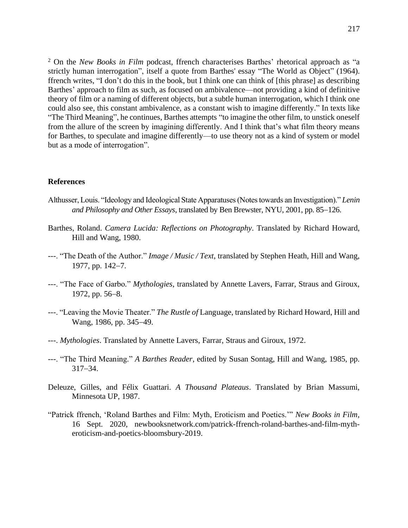<sup>2</sup> On the *New Books in Film* podcast, ffrench characterises Barthes' rhetorical approach as "a strictly human interrogation", itself a quote from Barthes' essay "The World as Object" (1964). ffrench writes, "I don't do this in the book, but I think one can think of [this phrase] as describing Barthes' approach to film as such, as focused on ambivalence—not providing a kind of definitive theory of film or a naming of different objects, but a subtle human interrogation, which I think one could also see, this constant ambivalence, as a constant wish to imagine differently." In texts like "The Third Meaning", he continues, Barthes attempts "to imagine the other film, to unstick oneself from the allure of the screen by imagining differently. And I think that's what film theory means for Barthes, to speculate and imagine differently—to use theory not as a kind of system or model but as a mode of interrogation".

### **References**

- Althusser, Louis. "Ideology and Ideological State Apparatuses (Notes towards an Investigation)." *Lenin and Philosophy and Other Essays*, translated by Ben Brewster, NYU, 2001, pp. 85−126.
- Barthes, Roland. *Camera Lucida: Reflections on Photography*. Translated by Richard Howard, Hill and Wang, 1980.
- ---. "The Death of the Author." *Image / Music / Text*, translated by Stephen Heath, Hill and Wang, 1977, pp. 142−7.
- ---. "The Face of Garbo*.*" *Mythologies*, translated by Annette Lavers, Farrar, Straus and Giroux, 1972, pp. 56−8.
- ---. "Leaving the Movie Theater." *The Rustle of* Language, translated by Richard Howard, Hill and Wang, 1986, pp. 345−49.
- ---. *Mythologies*. Translated by Annette Lavers, Farrar, Straus and Giroux, 1972.
- ---. "The Third Meaning." *A Barthes Reader*, edited by Susan Sontag, Hill and Wang, 1985, pp. 317−34.
- Deleuze, Gilles, and Félix Guattari. *A Thousand Plateaus*. Translated by Brian Massumi, Minnesota UP, 1987.
- "Patrick ffrench, 'Roland Barthes and Film: Myth, Eroticism and Poetics.'" *New Books in Film,*  16 Sept. 2020, [newbooksnetwork.com/patrick-ffrench-roland-barthes-and-film-myth](https://newbooksnetwork.com/patrick-ffrench-roland-barthes-and-film-myth-eroticism-and-poetics-bloomsbury-2019)[eroticism-and-poetics-bloomsbury-2019.](https://newbooksnetwork.com/patrick-ffrench-roland-barthes-and-film-myth-eroticism-and-poetics-bloomsbury-2019)